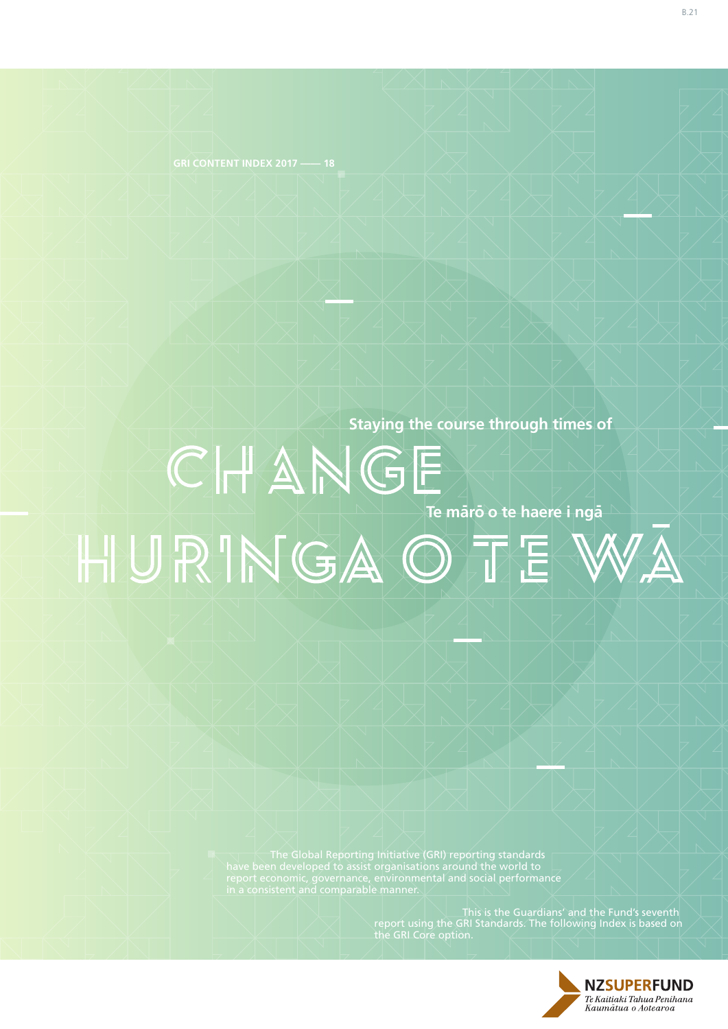**Staying the course through times of**

**Te mārō o te haere i ngā** HURINGAOTE

> The Global Reporting Initiative (GRI) reporting standards have been developed to assist organisations around the world to

> > $\Box$   $\Box$   $\Box$  This is the Guardians' and the Fund's seventh report using the GRI Standards. The following Index is based on

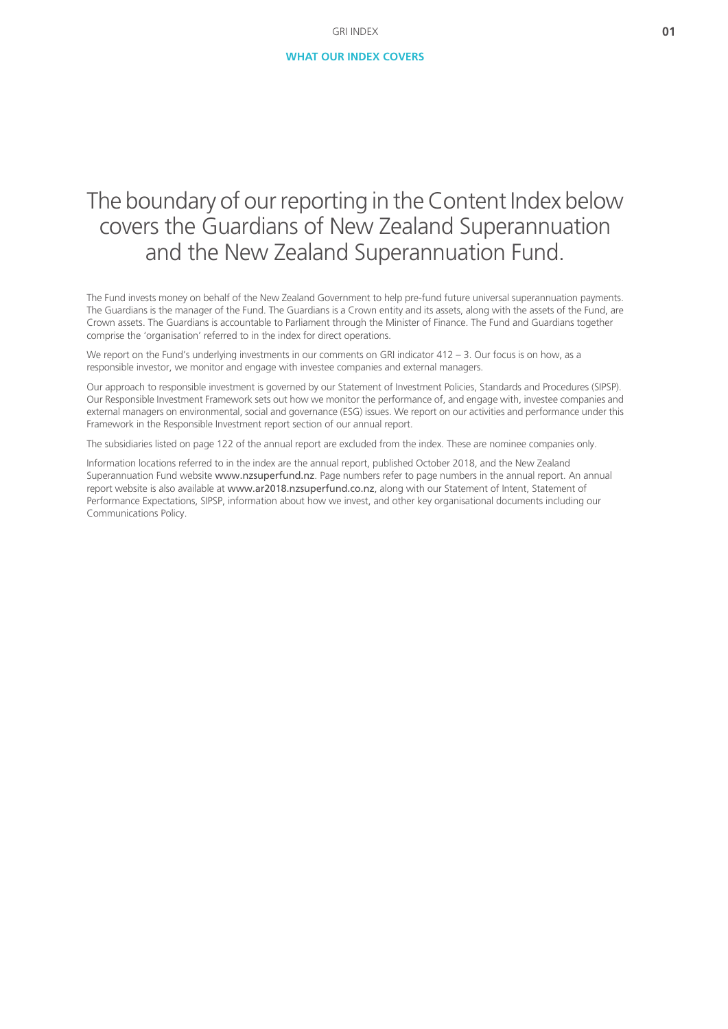# The boundary of our reporting in the Content Index below covers the Guardians of New Zealand Superannuation and the New Zealand Superannuation Fund.

The Fund invests money on behalf of the New Zealand Government to help pre-fund future universal superannuation payments. The Guardians is the manager of the Fund. The Guardians is a Crown entity and its assets, along with the assets of the Fund, are Crown assets. The Guardians is accountable to Parliament through the Minister of Finance. The Fund and Guardians together comprise the 'organisation' referred to in the index for direct operations.

We report on the Fund's underlying investments in our comments on GRI indicator 412 – 3. Our focus is on how, as a responsible investor, we monitor and engage with investee companies and external managers.

Our approach to responsible investment is governed by our Statement of Investment Policies, Standards and Procedures (SIPSP). Our Responsible Investment Framework sets out how we monitor the performance of, and engage with, investee companies and external managers on environmental, social and governance (ESG) issues. We report on our activities and performance under this Framework in the Responsible Investment report section of our annual report.

The subsidiaries listed on page 122 of the annual report are excluded from the index. These are nominee companies only.

Information locations referred to in the index are the annual report, published October 2018, and the New Zealand Superannuation Fund website [www.nzsuperfund.nz](https://www.nzsuperfund.co.nz). Page numbers refer to page numbers in the annual report. An annual report website is also available at [www.ar2018.nzsuperfund.co.nz](https://www.ar2018.nzsuperfund.co.nz), along with our Statement of Intent, Statement of Performance Expectations, SIPSP, information about how we invest, and other key organisational documents including our Communications Policy.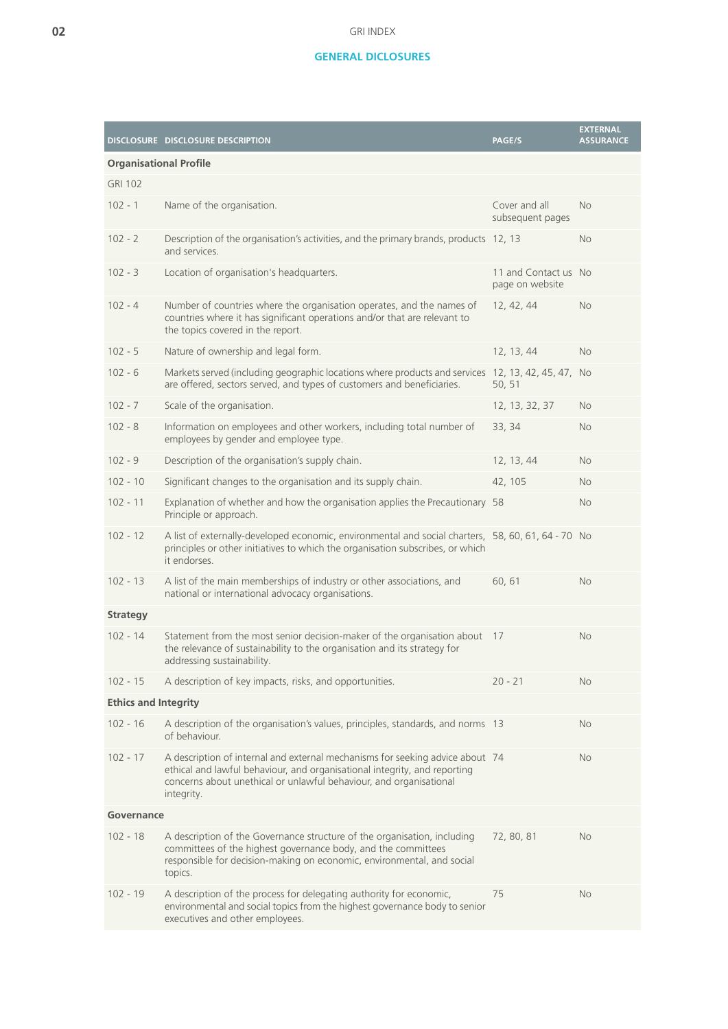## **GENERAL DICLOSURES**

|                               | DISCLOSURE DISCLOSURE DESCRIPTION                                                                                                                                                                                                              | PAGE/S                                  | <b>EXTERNAL</b><br><b>ASSURANCE</b> |
|-------------------------------|------------------------------------------------------------------------------------------------------------------------------------------------------------------------------------------------------------------------------------------------|-----------------------------------------|-------------------------------------|
| <b>Organisational Profile</b> |                                                                                                                                                                                                                                                |                                         |                                     |
| <b>GRI 102</b>                |                                                                                                                                                                                                                                                |                                         |                                     |
| $102 - 1$                     | Name of the organisation.                                                                                                                                                                                                                      | Cover and all<br>subsequent pages       | <b>No</b>                           |
| $102 - 2$                     | Description of the organisation's activities, and the primary brands, products 12, 13<br>and services.                                                                                                                                         |                                         | <b>No</b>                           |
| $102 - 3$                     | Location of organisation's headquarters.                                                                                                                                                                                                       | 11 and Contact us No<br>page on website |                                     |
| $102 - 4$                     | Number of countries where the organisation operates, and the names of<br>countries where it has significant operations and/or that are relevant to<br>the topics covered in the report.                                                        | 12, 42, 44                              | No                                  |
| $102 - 5$                     | Nature of ownership and legal form.                                                                                                                                                                                                            | 12, 13, 44                              | <b>No</b>                           |
| $102 - 6$                     | Markets served (including geographic locations where products and services 12, 13, 42, 45, 47,<br>are offered, sectors served, and types of customers and beneficiaries.                                                                       | 50, 51                                  | <b>No</b>                           |
| $102 - 7$                     | Scale of the organisation.                                                                                                                                                                                                                     | 12, 13, 32, 37                          | <b>No</b>                           |
| $102 - 8$                     | Information on employees and other workers, including total number of<br>employees by gender and employee type.                                                                                                                                | 33, 34                                  | <b>No</b>                           |
| $102 - 9$                     | Description of the organisation's supply chain.                                                                                                                                                                                                | 12, 13, 44                              | <b>No</b>                           |
| $102 - 10$                    | Significant changes to the organisation and its supply chain.                                                                                                                                                                                  | 42, 105                                 | <b>No</b>                           |
| $102 - 11$                    | Explanation of whether and how the organisation applies the Precautionary 58<br>Principle or approach.                                                                                                                                         |                                         | <b>No</b>                           |
| $102 - 12$                    | A list of externally-developed economic, environmental and social charters, 58, 60, 61, 64 - 70 No<br>principles or other initiatives to which the organisation subscribes, or which<br>it endorses.                                           |                                         |                                     |
| $102 - 13$                    | A list of the main memberships of industry or other associations, and<br>national or international advocacy organisations.                                                                                                                     | 60,61                                   | <b>No</b>                           |
| <b>Strategy</b>               |                                                                                                                                                                                                                                                |                                         |                                     |
| $102 - 14$                    | Statement from the most senior decision-maker of the organisation about<br>the relevance of sustainability to the organisation and its strategy for<br>addressing sustainability.                                                              | 17                                      | <b>No</b>                           |
| $102 - 15$                    | A description of key impacts, risks, and opportunities.                                                                                                                                                                                        | $20 - 21$                               | <b>No</b>                           |
| <b>Ethics and Integrity</b>   |                                                                                                                                                                                                                                                |                                         |                                     |
| $102 - 16$                    | A description of the organisation's values, principles, standards, and norms 13<br>of behaviour.                                                                                                                                               |                                         | <b>No</b>                           |
| $102 - 17$                    | A description of internal and external mechanisms for seeking advice about 74<br>ethical and lawful behaviour, and organisational integrity, and reporting<br>concerns about unethical or unlawful behaviour, and organisational<br>integrity. |                                         | No                                  |
| Governance                    |                                                                                                                                                                                                                                                |                                         |                                     |
| $102 - 18$                    | A description of the Governance structure of the organisation, including<br>committees of the highest governance body, and the committees<br>responsible for decision-making on economic, environmental, and social<br>topics.                 | 72, 80, 81                              | No                                  |
| $102 - 19$                    | A description of the process for delegating authority for economic,<br>environmental and social topics from the highest governance body to senior<br>executives and other employees.                                                           | 75                                      | No                                  |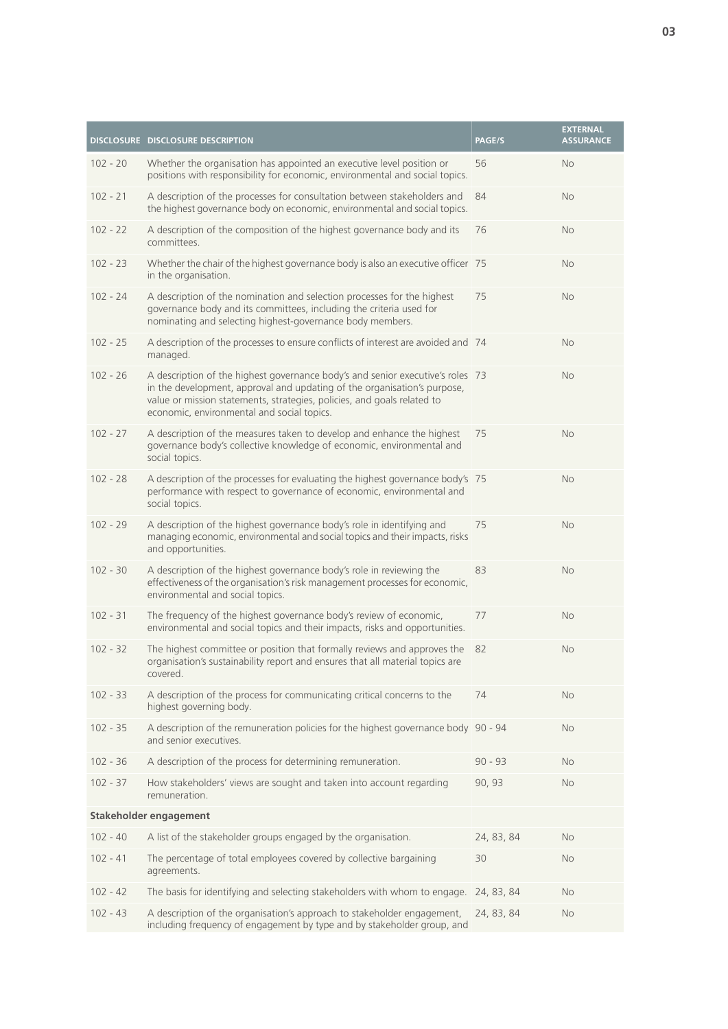|            | <b>DISCLOSURE DISCLOSURE DESCRIPTION</b>                                                                                                                                                                                                                                            | PAGE/S     | <b>EXTERNAL</b><br><b>ASSURANCE</b> |
|------------|-------------------------------------------------------------------------------------------------------------------------------------------------------------------------------------------------------------------------------------------------------------------------------------|------------|-------------------------------------|
| $102 - 20$ | Whether the organisation has appointed an executive level position or<br>positions with responsibility for economic, environmental and social topics.                                                                                                                               | 56         | <b>No</b>                           |
| $102 - 21$ | A description of the processes for consultation between stakeholders and<br>the highest governance body on economic, environmental and social topics.                                                                                                                               | 84         | <b>No</b>                           |
| $102 - 22$ | A description of the composition of the highest governance body and its<br>committees.                                                                                                                                                                                              | 76         | <b>No</b>                           |
| $102 - 23$ | Whether the chair of the highest governance body is also an executive officer 75<br>in the organisation.                                                                                                                                                                            |            | <b>No</b>                           |
| $102 - 24$ | A description of the nomination and selection processes for the highest<br>governance body and its committees, including the criteria used for<br>nominating and selecting highest-governance body members.                                                                         | 75         | <b>No</b>                           |
| $102 - 25$ | A description of the processes to ensure conflicts of interest are avoided and 74<br>managed.                                                                                                                                                                                       |            | No                                  |
| $102 - 26$ | A description of the highest governance body's and senior executive's roles 73<br>in the development, approval and updating of the organisation's purpose,<br>value or mission statements, strategies, policies, and goals related to<br>economic, environmental and social topics. |            | <b>No</b>                           |
| $102 - 27$ | A description of the measures taken to develop and enhance the highest<br>governance body's collective knowledge of economic, environmental and<br>social topics.                                                                                                                   | 75         | <b>No</b>                           |
| $102 - 28$ | A description of the processes for evaluating the highest governance body's 75<br>performance with respect to governance of economic, environmental and<br>social topics.                                                                                                           |            | <b>No</b>                           |
| $102 - 29$ | A description of the highest governance body's role in identifying and<br>managing economic, environmental and social topics and their impacts, risks<br>and opportunities.                                                                                                         | 75         | <b>No</b>                           |
| $102 - 30$ | A description of the highest governance body's role in reviewing the<br>effectiveness of the organisation's risk management processes for economic,<br>environmental and social topics.                                                                                             | 83         | <b>No</b>                           |
| $102 - 31$ | The frequency of the highest governance body's review of economic,<br>environmental and social topics and their impacts, risks and opportunities.                                                                                                                                   | 77         | <b>No</b>                           |
| $102 - 32$ | The highest committee or position that formally reviews and approves the<br>organisation's sustainability report and ensures that all material topics are<br>covered.                                                                                                               | 82         | No                                  |
| $102 - 33$ | A description of the process for communicating critical concerns to the<br>highest governing body.                                                                                                                                                                                  | 74         | <b>No</b>                           |
| $102 - 35$ | A description of the remuneration policies for the highest governance body 90 - 94<br>and senior executives.                                                                                                                                                                        |            | <b>No</b>                           |
| $102 - 36$ | A description of the process for determining remuneration.                                                                                                                                                                                                                          | $90 - 93$  | <b>No</b>                           |
| $102 - 37$ | How stakeholders' views are sought and taken into account regarding<br>remuneration.                                                                                                                                                                                                | 90, 93     | <b>No</b>                           |
|            | Stakeholder engagement                                                                                                                                                                                                                                                              |            |                                     |
| $102 - 40$ | A list of the stakeholder groups engaged by the organisation.                                                                                                                                                                                                                       | 24, 83, 84 | No                                  |
| $102 - 41$ | The percentage of total employees covered by collective bargaining<br>agreements.                                                                                                                                                                                                   | 30         | <b>No</b>                           |
| $102 - 42$ | The basis for identifying and selecting stakeholders with whom to engage.                                                                                                                                                                                                           | 24, 83, 84 | No                                  |
| $102 - 43$ | A description of the organisation's approach to stakeholder engagement,<br>including frequency of engagement by type and by stakeholder group, and                                                                                                                                  | 24, 83, 84 | <b>No</b>                           |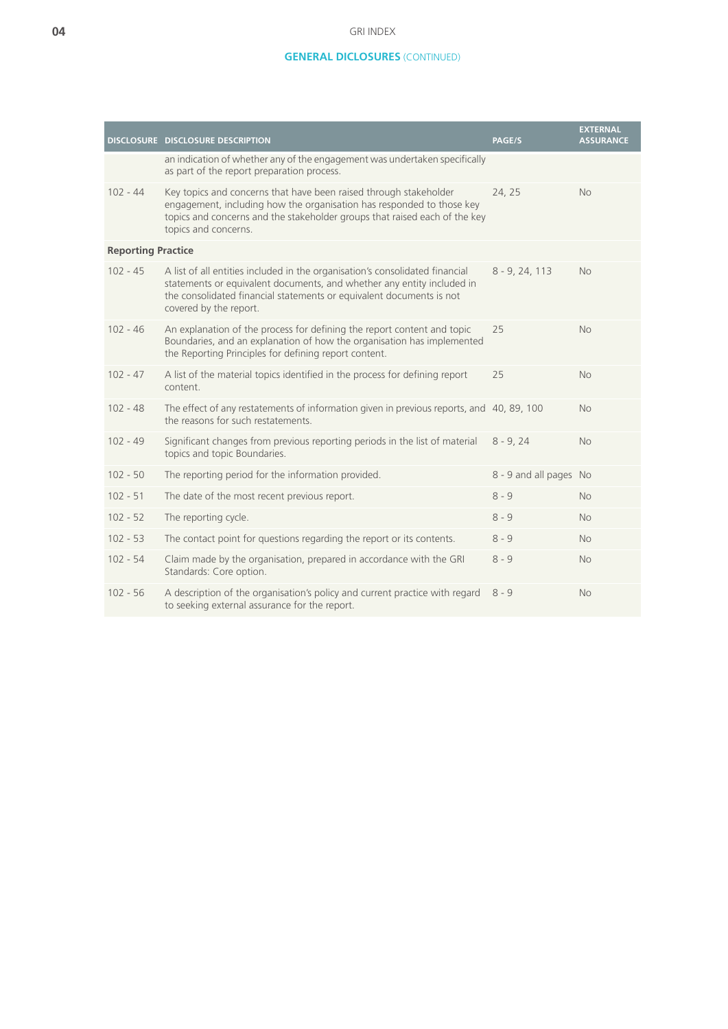### GRI INDEX

## **GENERAL DICLOSURES** (CONTINUED)

|                           | DISCLOSURE DISCLOSURE DESCRIPTION                                                                                                                                                                                                                        | PAGE/S                 | <b>EXTERNAL</b><br><b>ASSURANCE</b> |
|---------------------------|----------------------------------------------------------------------------------------------------------------------------------------------------------------------------------------------------------------------------------------------------------|------------------------|-------------------------------------|
|                           | an indication of whether any of the engagement was undertaken specifically<br>as part of the report preparation process.                                                                                                                                 |                        |                                     |
| $102 - 44$                | Key topics and concerns that have been raised through stakeholder<br>engagement, including how the organisation has responded to those key<br>topics and concerns and the stakeholder groups that raised each of the key<br>topics and concerns.         | 24, 25                 | <b>No</b>                           |
| <b>Reporting Practice</b> |                                                                                                                                                                                                                                                          |                        |                                     |
| $102 - 45$                | A list of all entities included in the organisation's consolidated financial<br>statements or equivalent documents, and whether any entity included in<br>the consolidated financial statements or equivalent documents is not<br>covered by the report. | $8 - 9, 24, 113$       | <b>No</b>                           |
| $102 - 46$                | An explanation of the process for defining the report content and topic<br>Boundaries, and an explanation of how the organisation has implemented<br>the Reporting Principles for defining report content.                                               | 25                     | <b>No</b>                           |
| $102 - 47$                | A list of the material topics identified in the process for defining report<br>content.                                                                                                                                                                  | 25                     | <b>No</b>                           |
| $102 - 48$                | The effect of any restatements of information given in previous reports, and 40, 89, 100<br>the reasons for such restatements.                                                                                                                           |                        | <b>No</b>                           |
| $102 - 49$                | Significant changes from previous reporting periods in the list of material<br>topics and topic Boundaries.                                                                                                                                              | $8 - 9, 24$            | <b>No</b>                           |
| $102 - 50$                | The reporting period for the information provided.                                                                                                                                                                                                       | 8 - 9 and all pages No |                                     |
| $102 - 51$                | The date of the most recent previous report.                                                                                                                                                                                                             | $8 - 9$                | No.                                 |
| $102 - 52$                | The reporting cycle.                                                                                                                                                                                                                                     | $8 - 9$                | No.                                 |
| $102 - 53$                | The contact point for questions regarding the report or its contents.                                                                                                                                                                                    | $8 - 9$                | <b>No</b>                           |
| $102 - 54$                | Claim made by the organisation, prepared in accordance with the GRI<br>Standards: Core option.                                                                                                                                                           | $8 - 9$                | <b>No</b>                           |
| $102 - 56$                | A description of the organisation's policy and current practice with regard<br>to seeking external assurance for the report.                                                                                                                             | $8 - 9$                | <b>No</b>                           |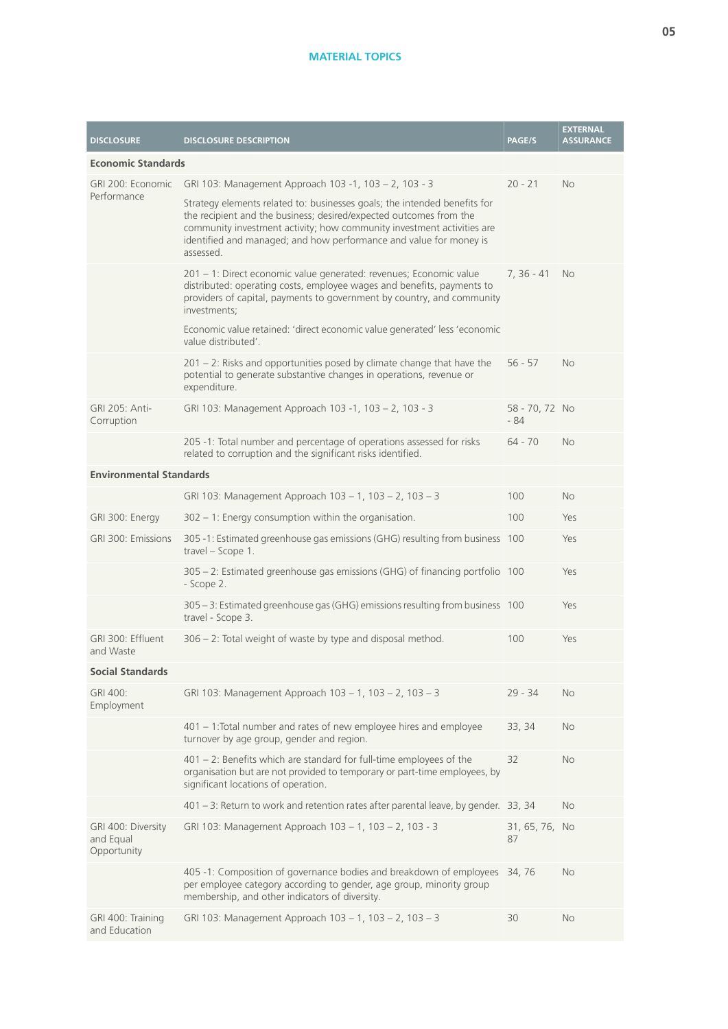## **MATERIAL TOPICS**

| <b>DISCLOSURE</b>                              | <b>DISCLOSURE DESCRIPTION</b>                                                                                                                                                                                                                                                                                               | <b>PAGE/S</b>           | <b>EXTERNAL</b><br><b>ASSURANCE</b> |
|------------------------------------------------|-----------------------------------------------------------------------------------------------------------------------------------------------------------------------------------------------------------------------------------------------------------------------------------------------------------------------------|-------------------------|-------------------------------------|
| <b>Economic Standards</b>                      |                                                                                                                                                                                                                                                                                                                             |                         |                                     |
| GRI 200: Economic                              | GRI 103: Management Approach 103 -1, 103 - 2, 103 - 3                                                                                                                                                                                                                                                                       | $20 - 21$               | <b>No</b>                           |
|                                                | Performance<br>Strategy elements related to: businesses goals; the intended benefits for<br>the recipient and the business; desired/expected outcomes from the<br>community investment activity; how community investment activities are<br>identified and managed; and how performance and value for money is<br>assessed. |                         |                                     |
|                                                | 201 - 1: Direct economic value generated: revenues; Economic value<br>distributed: operating costs, employee wages and benefits, payments to<br>providers of capital, payments to government by country, and community<br>investments;                                                                                      | $7, 36 - 41$            | <b>No</b>                           |
|                                                | Economic value retained: 'direct economic value generated' less 'economic<br>value distributed'.                                                                                                                                                                                                                            |                         |                                     |
|                                                | $201 - 2$ : Risks and opportunities posed by climate change that have the<br>potential to generate substantive changes in operations, revenue or<br>expenditure.                                                                                                                                                            | $56 - 57$               | No                                  |
| GRI 205: Anti-<br>Corruption                   | GRI 103: Management Approach 103 -1, 103 - 2, 103 - 3                                                                                                                                                                                                                                                                       | 58 - 70, 72 No<br>$-84$ |                                     |
|                                                | 205 -1: Total number and percentage of operations assessed for risks<br>related to corruption and the significant risks identified.                                                                                                                                                                                         | $64 - 70$               | <b>No</b>                           |
| <b>Environmental Standards</b>                 |                                                                                                                                                                                                                                                                                                                             |                         |                                     |
|                                                | GRI 103: Management Approach 103 - 1, 103 - 2, 103 - 3                                                                                                                                                                                                                                                                      | 100                     | <b>No</b>                           |
| GRI 300: Energy                                | $302 - 1$ : Energy consumption within the organisation.                                                                                                                                                                                                                                                                     | 100                     | Yes                                 |
| GRI 300: Emissions                             | 305 -1: Estimated greenhouse gas emissions (GHG) resulting from business 100<br>travel - Scope 1.                                                                                                                                                                                                                           |                         | Yes                                 |
|                                                | 305 - 2: Estimated greenhouse gas emissions (GHG) of financing portfolio 100<br>- Scope 2.                                                                                                                                                                                                                                  |                         | Yes                                 |
|                                                | 305 - 3: Estimated greenhouse gas (GHG) emissions resulting from business 100<br>travel - Scope 3.                                                                                                                                                                                                                          |                         | Yes                                 |
| GRI 300: Effluent<br>and Waste                 | 306 - 2: Total weight of waste by type and disposal method.                                                                                                                                                                                                                                                                 | 100                     | Yes                                 |
| <b>Social Standards</b>                        |                                                                                                                                                                                                                                                                                                                             |                         |                                     |
| GRI 400:<br>Employment                         | GRI 103: Management Approach 103 - 1, 103 - 2, 103 - 3                                                                                                                                                                                                                                                                      | $29 - 34$               | <b>No</b>                           |
|                                                | 401 – 1: Total number and rates of new employee hires and employee<br>turnover by age group, gender and region.                                                                                                                                                                                                             | 33, 34                  | No                                  |
|                                                | $401 - 2$ : Benefits which are standard for full-time employees of the<br>organisation but are not provided to temporary or part-time employees, by<br>significant locations of operation.                                                                                                                                  | 32                      | <b>No</b>                           |
|                                                | 401 - 3: Return to work and retention rates after parental leave, by gender. 33, 34                                                                                                                                                                                                                                         |                         | <b>No</b>                           |
| GRI 400: Diversity<br>and Equal<br>Opportunity | GRI 103: Management Approach 103 - 1, 103 - 2, 103 - 3                                                                                                                                                                                                                                                                      | 31, 65, 76, No<br>87    |                                     |
|                                                | 405 -1: Composition of governance bodies and breakdown of employees 34, 76<br>per employee category according to gender, age group, minority group<br>membership, and other indicators of diversity.                                                                                                                        |                         | <b>No</b>                           |
| GRI 400: Training<br>and Education             | GRI 103: Management Approach 103 - 1, 103 - 2, 103 - 3                                                                                                                                                                                                                                                                      | 30                      | <b>No</b>                           |